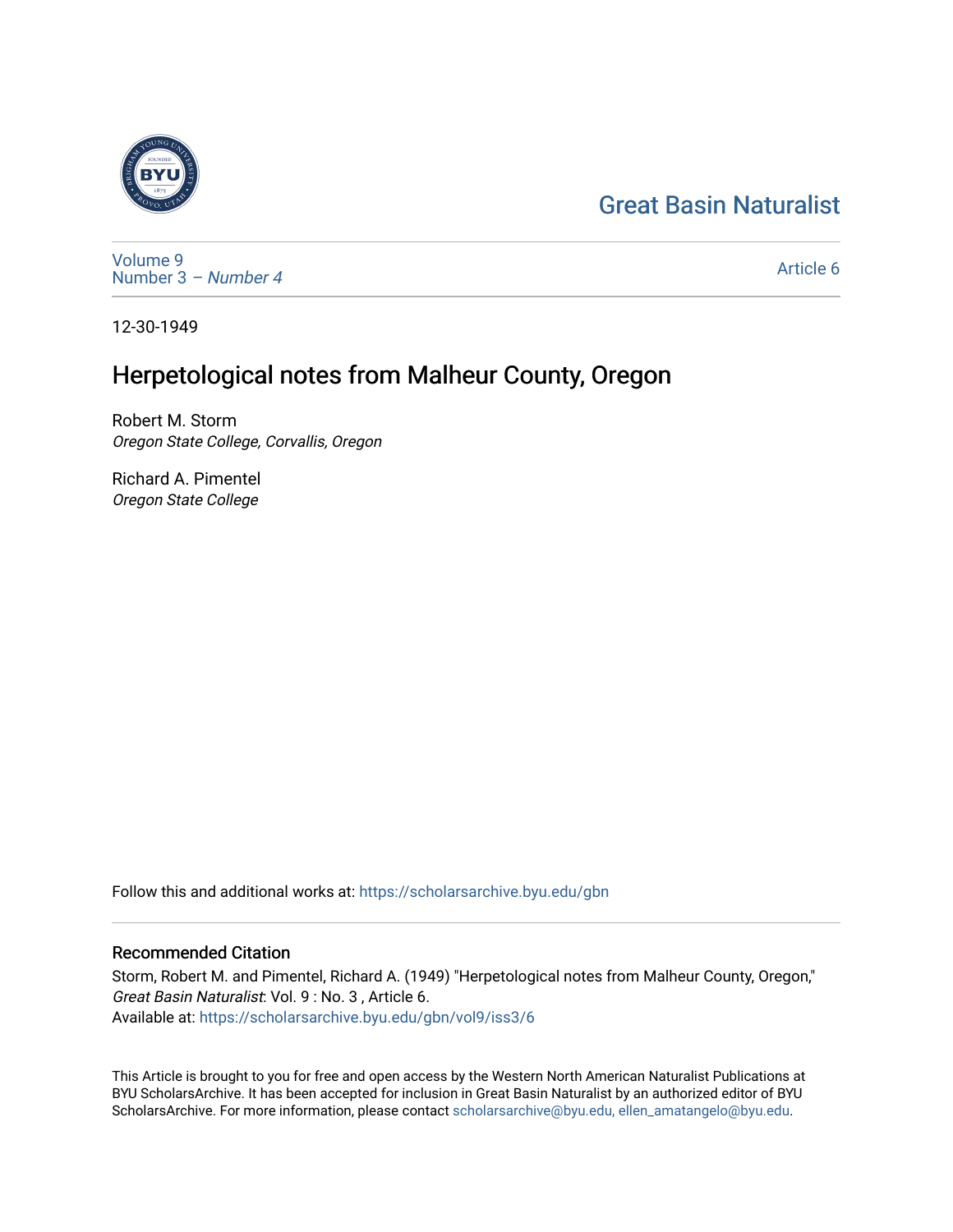# [Great Basin Naturalist](https://scholarsarchive.byu.edu/gbn)



[Volume 9](https://scholarsarchive.byu.edu/gbn/vol9) [Number 3](https://scholarsarchive.byu.edu/gbn/vol9/iss3) – Number 4

[Article 6](https://scholarsarchive.byu.edu/gbn/vol9/iss3/6) 

12-30-1949

## Herpetological notes from Malheur County, Oregon

Robert M. Storm Oregon State College, Corvallis, Oregon

Richard A. Pimentel Oregon State College

Follow this and additional works at: [https://scholarsarchive.byu.edu/gbn](https://scholarsarchive.byu.edu/gbn?utm_source=scholarsarchive.byu.edu%2Fgbn%2Fvol9%2Fiss3%2F6&utm_medium=PDF&utm_campaign=PDFCoverPages) 

## Recommended Citation

Storm, Robert M. and Pimentel, Richard A. (1949) "Herpetological notes from Malheur County, Oregon," Great Basin Naturalist: Vol. 9 : No. 3 , Article 6. Available at: [https://scholarsarchive.byu.edu/gbn/vol9/iss3/6](https://scholarsarchive.byu.edu/gbn/vol9/iss3/6?utm_source=scholarsarchive.byu.edu%2Fgbn%2Fvol9%2Fiss3%2F6&utm_medium=PDF&utm_campaign=PDFCoverPages) 

This Article is brought to you for free and open access by the Western North American Naturalist Publications at BYU ScholarsArchive. It has been accepted for inclusion in Great Basin Naturalist by an authorized editor of BYU ScholarsArchive. For more information, please contact [scholarsarchive@byu.edu, ellen\\_amatangelo@byu.edu.](mailto:scholarsarchive@byu.edu,%20ellen_amatangelo@byu.edu)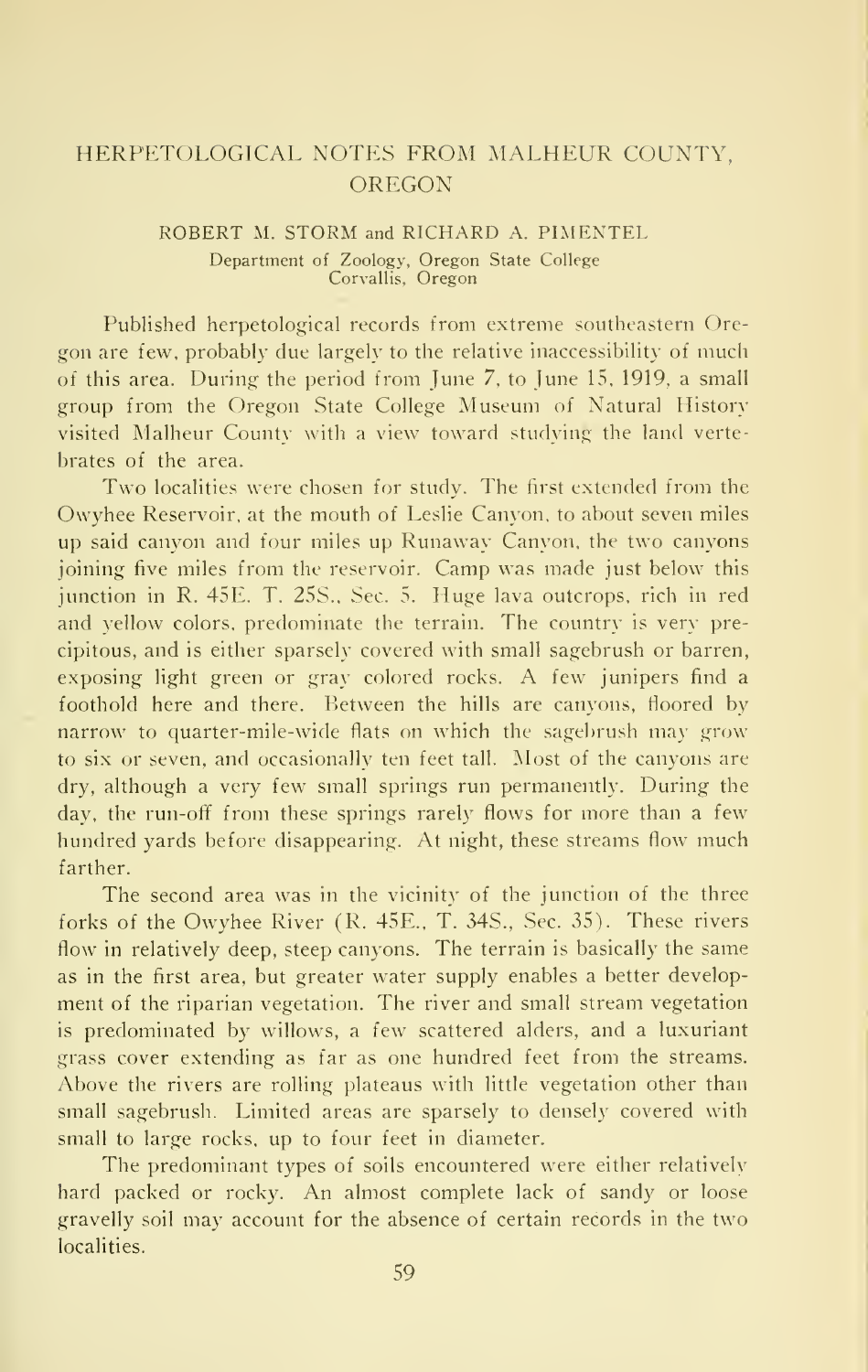### HERPETOLOGICAL NOTES FROM MALHEUR COUNTY, OREGON

#### ROBERT M. STORM and RICHARD A. PIMENTEL Department of Zoology, Oregon State College Corvallis, Oregon

Published herpetological records from extreme southeastern Oregon are few, probably due largely to the relative inaccessibility of much of this area. During the period from June 7, to June 15, 1919, a small group from the Oregon State College Museum of Natural History visited Malheur County with a view toward studying the land verte brates of the area.

Two localities were chosen for study. The first extended from the Owyhee Reservoir, at the mouth of Leslie Canyon, to about seven miles up said canyon and four miles up Runaway Canyon, the two canyons joining five miles from the reservoir. Camp was made just below this junction in R. 45E. T. 25S., Sec. 5. Huge lava outcrops, rich in red and yellow colors, predominate the terrain. The country is very precipitous, and is either sparsely covered with small sagebrush or barren, exposing light green or gray colored rocks. A few junipers find <sup>a</sup> foothold here and there. Between the hills are canyons, floored by narrow to quarter-mile-wide fiats on which the sagebrush may grow to six or seven, and occasionally ten feet tall. Most of the canyons are dry, although a very few small springs run permanently. During the day, the run-off from these springs rarely flows for more than a few hundred yards before disappearing. At night, these streams flow much farther.

The second area was in the vicinity of the junction of the three forks of the Owyhee River (R. 45E., T. 34S., Sec. 35). These rivers flow in relatively deep, steep canyons. The terrain is basically the same as in the first area, but greater water supply enables a better development of the riparian vegetation. The river and small stream vegetation is predominated by willows, a few scattered alders, and a luxuriant grass cover extending as far as one hundred feet from the streams. Above the rivers are rolling plateaus with little vegetation other than small sagebrush. Limited areas are sparsely to densely covered with small to large rocks, up to four feet in diameter.

The predominant types of soils encountered were either relatively hard packed or rocky. An almost complete lack of sandy or loose gravelly soil may account for the absence of certain records in the two localities.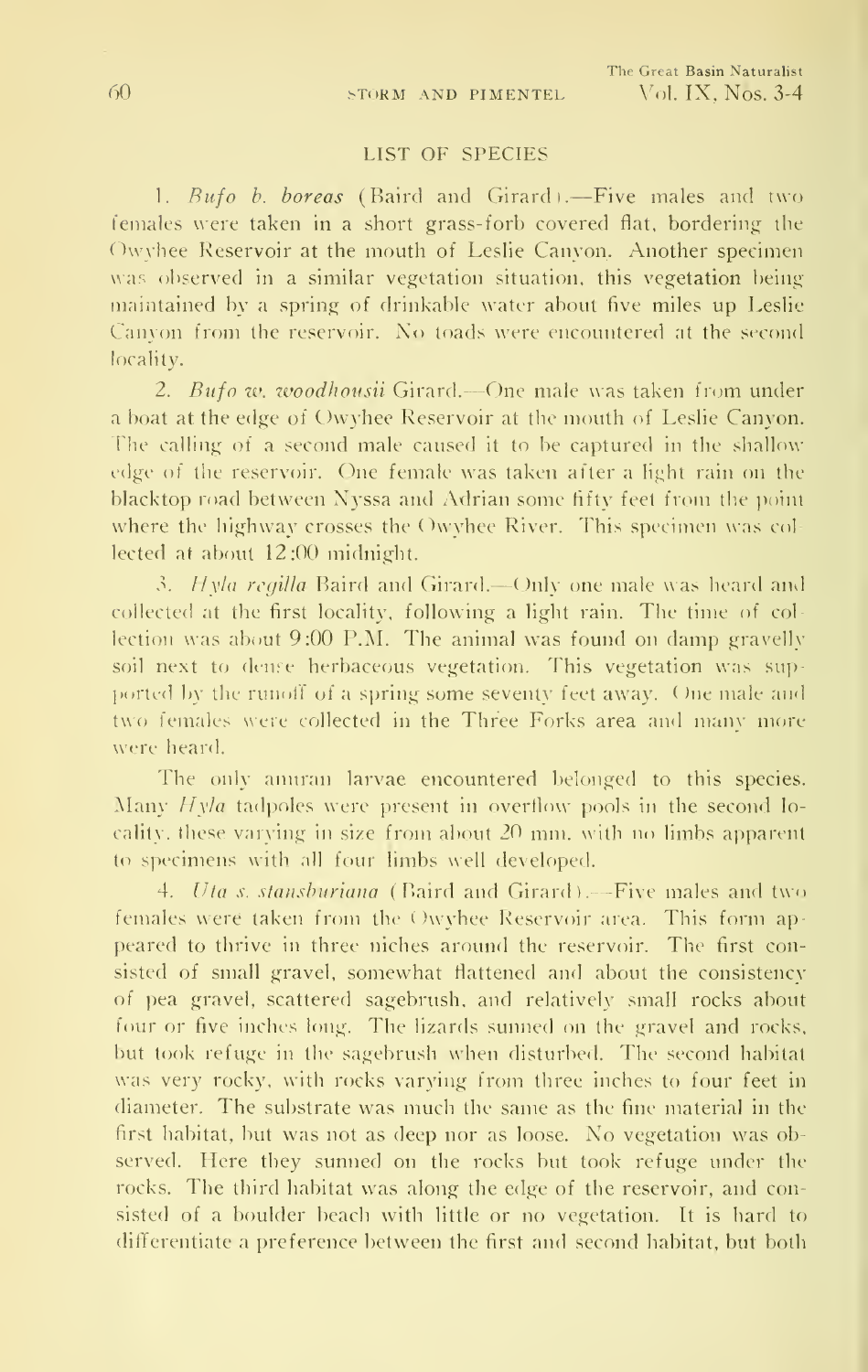#### LIST OF SPECIES

1. Rufo b. boreas (Baird and Girardi.—Five males and two females were taken in a short grass-forb covered flat, bordering the Owvhee Reservoir at the mouth of Leslie Canyon. Another specimen was observed in a similar vegetation situation, this vegetation being maintained by a spring of drinkable water about five miles up Leslie Canyon from the reservoir. No toads were encountered at the second locality.

2. Bufo w. woodhousii Girard.—One male was taken from under a boat at the edge of Owyhee Reservoir at the mouth of Leslie Canyon. The calling of a second male caused it to be captured in the shallow edge of the reservoir. One female was taken after a light rain on the blacktop road between Nyssa and Adrian some tifty feet from the point where the highway crosses the Owyhee River. This specimen was col lected at about 12:0C) midnight.

3. Hyla regilla Baird and Girard.—Only one male was heard and collected at the first locality, following a light rain. The time of col lection was about  $9:00$  P.M. The animal was found on damp gravelly soil next to dense herbaceous vegetation. This vegetation was supported by the runoff of a spring some seventy feet away. One male and two females were collected in the Three Forks area and many more were heard.

The only anuran larvae encountered belonged to this species. Many  $Hy/a$  tadpoles were present in overflow pools in the second locality, these varying in size from about  $20$  mm. with no limbs apparent to specimens with all four limbs well developed.

4. Uta s. stansburiana (Baird and Girard).—Five males and two females were taken from the ( )wyhee Reservoir area. This form ap peared to thrive in three niches around the reservoir. The first consisted of small gravel, somewhat flattened and about the consistency of pea gravel, scattered sagebrush, and relatively small rocks about four or five inches long. The lizards sunned on the gravel and rocks, but took refuge in the sagebrush when disturbed. The second habitat was very rocky, with rocks varying from three inches to four feet in diameter. The substrate was much the same as the fine material in the first habitat, but was not as deep nor as loose. No vegetation was observed. Here they sunned on the rocks but took refuge under the rocks. The third habitat was along the edge of the reservoir, and consisted of a boulder beach with little or no vegetation. It is hard to differentiate a preference between the first and second habitat, but both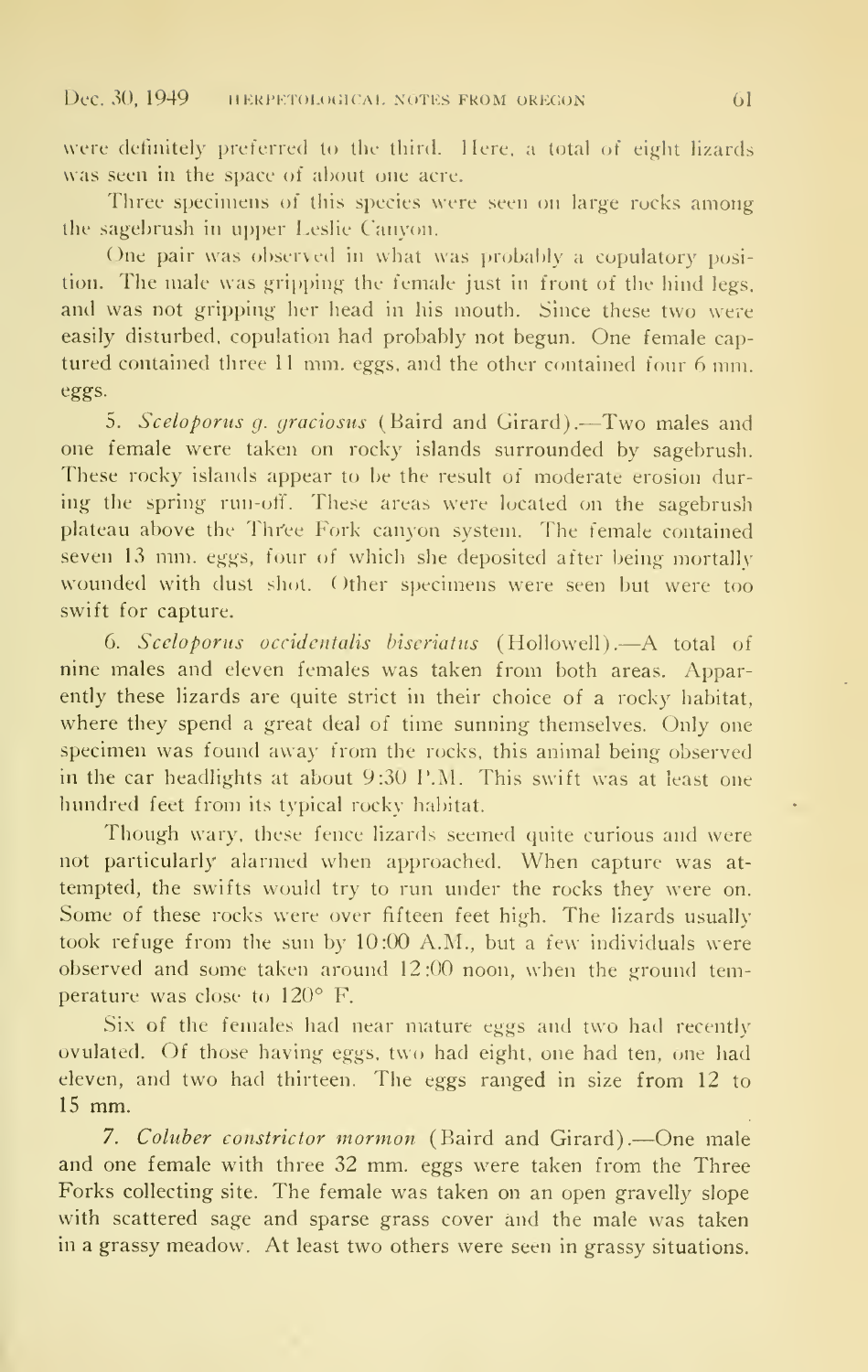were definitely preferred to the third. Here, a total of eight lizards was seen in the space of about one acre.

Three specimens of this species were seen on large rocks among the sagebrush in upper Leslie Canyon.

One pair was observed in what was probably a copulatory position. The male was gripping the female just in front of the hind legs, and was not gripping her head in his mouth. Since these two were easily disturbed, copulation had probably not begun. One female cap tured contained three <sup>11</sup> mm. eggs, and the other contained four 6 mm. eggs.

5. Sceloporus g. graciosus (Baird and Girard). $-$ Two males and one female were taken on rocky islands surrounded by sagebrush. These rocky islands appear to be the result of moderate erosion during the spring run-off. These areas were located on the sagebrush plateau above the Three Fork canyon system. The female contained seven <sup>13</sup> mm. eggs, four of which she deposited after being mortally wounded with dust sliot. Other specimens were seen but were too swift for capture.

6. Sceloporus occidentalis biseriatiis (Hollowell).—A total of nine males and eleven females was taken from both areas. Apparently these lizards are quite strict in their choice of a rocky habitat, where they spend a great deal of time sunning themselves. Only one specimen was found away from the rocks, this animal being observed in the car headlights at about 9:30 P.M. This swift was at least one hundred feet from its typical rocky habitat.

Though wary, these fence lizards seemed quite curious and were not particularly alarmed when approached. When capture was at tempted, the swifts would try to run under the rocks they were on. Some of these rocks were over fifteen feet high. The lizards usually took refuge from the sun by 10:00 A.M., but a few individuals were observed and some taken around 12:00 noon, when the ground temperature was close to 120° F.

Six of the females had near mature eggs and two had recently ovulated. Of those having eggs, two had eight, one had ten, one had eleven, and two had thirteen. The eggs ranged in size from 12 to <sup>15</sup> mm.

7. Coluber constrictor mormon (Baird and Girard).—One male and one female with three 32 mm. eggs were taken from the Three Forks collecting site. The female was taken on an open gravelly slope with scattered sage and sparse grass cover and the male was taken in a grassy meadow. At least two others were seen in grassy situations.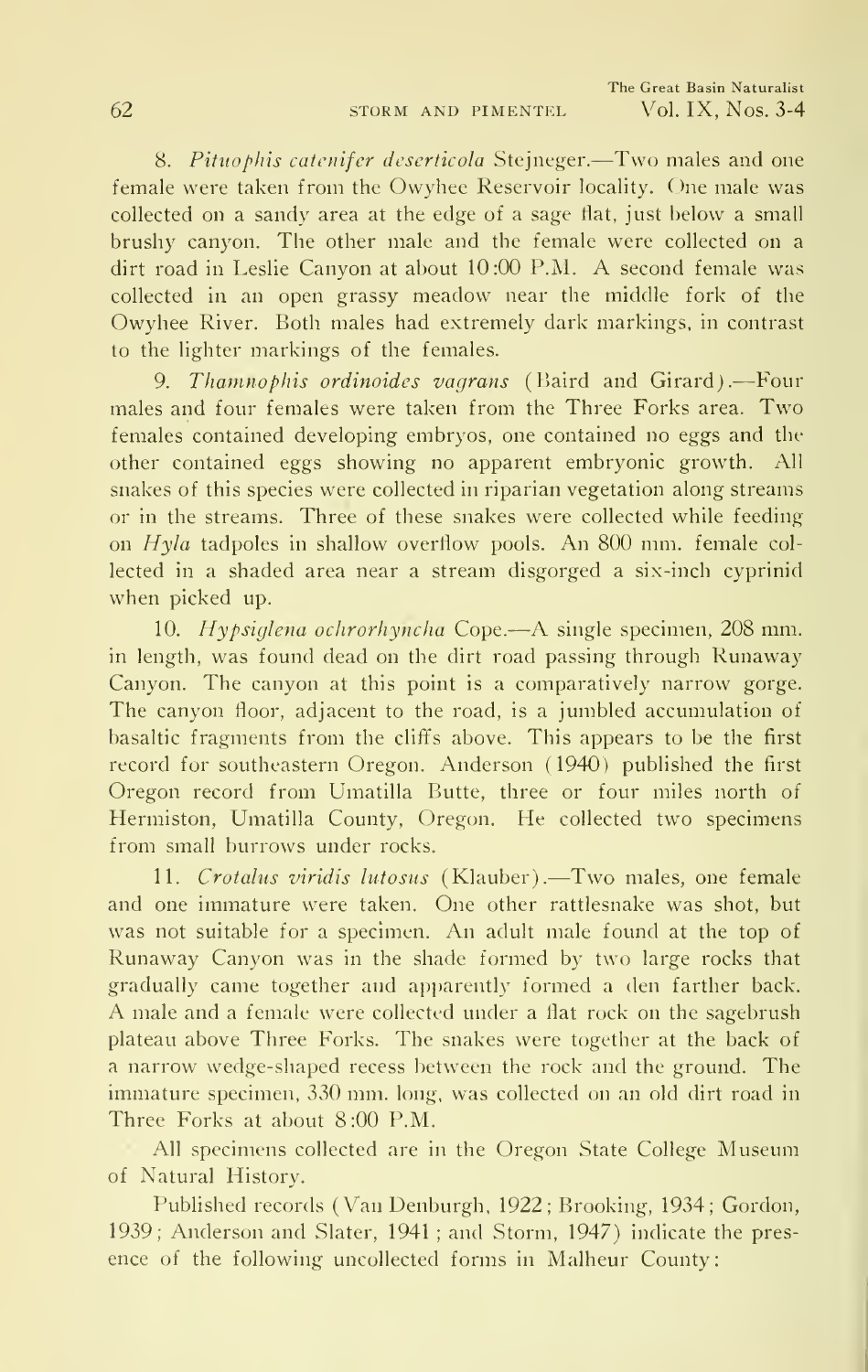8. Pituophis catenifer deserticola Stejneger.-Two males and one female were taken from the Owyhee Reservoir locality. One male was collected on a sandy area at the edge of a sage tlat, just below a small brushy canyon. The other male and the female were collected on a dirt road in Leslie Canyon at about 10:00 P.M. A second female was collected in an open grassy meadow near the middle fork of the Owyhee River. Both males had extremely dark markings, in contrast to the lighter markings of the females.

9. Thamnophis ordinoides vagrans (Baird and Girard).—Four males and four females were taken from the Three Forks area. Two females contained developing embryos, one contained no eggs and the other contained eggs showing no apparent embryonic growth. All snakes of this species were collected in riparian vegetation along streams or in the streams. Three of these snakes were collected while feeding on Hyla tadpoles in shallow overflow pools. An 800 mm. female col lected in a shaded area near a stream disgorged a six-inch cyprinid when picked up.

10. Hypsiglena ochrorhyncha Cope.—A single specimen, <sup>208</sup> mm. in length, was found dead on the dirt road passing through Runaway Canyon. The canyon at this point is a comparatively narrow gorge. The canyon floor, adjacent to the road, is a jumbled accumulation of basaltic fragments from the cliffs above. This appears to be the first record for southeastern Oregon. Anderson (1940) published the first Oregon record from Umatilla Butte, three or four miles north of Hermiston, Umatilla County, Oregon. He collected two specimens from small burrows under rocks.

11. Crotalus viridis lutosus (Klauber).—Two males, one female and one immature were taken. One other rattlesnake was shot, but was not suitable for <sup>a</sup> specimen. An adult male found at the top of Runaway Canyon was in the shade formed by two large rocks that gradually came together and apparently formed a den farther back. A male and <sup>a</sup> female were collected under <sup>a</sup> flat rock on the sagebrush plateau above Three Forks. The snakes were together at the back of a narrow wedge-shaped recess between the rock and the ground. The immature specimen, 330 mm. long, was collected on an old dirt road in Three Forks at about 8:00 P.M.

All specimens collected are in the Oregon State College Museum of Natural History.

Published records (Van Denburgh, 1922; Brooking, 1934; Gordon, 1939; Anderson and Slater, 1941 ; and Storm, 1947) indicate the pres ence of the following uncollected forms in Malheur County